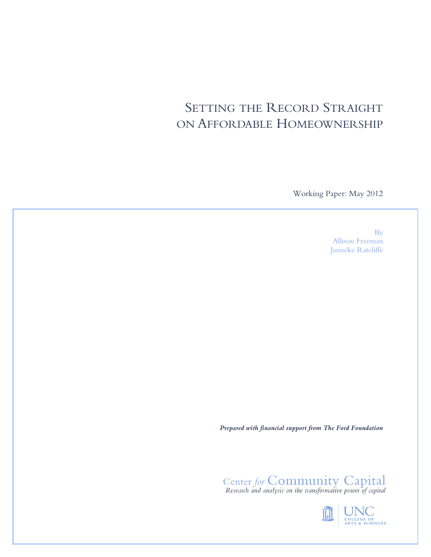# SETTING THE RECORD STRAIGHT ON AFFORDABLE HOMEOWNERSHIP

Working Paper: May 2012

By Allison Freeman Janneke Ratcliffe

*Prepared with financial support from The Ford Foundation*

Center for Community Capital<br>Research and analysis on the transformative power of capital

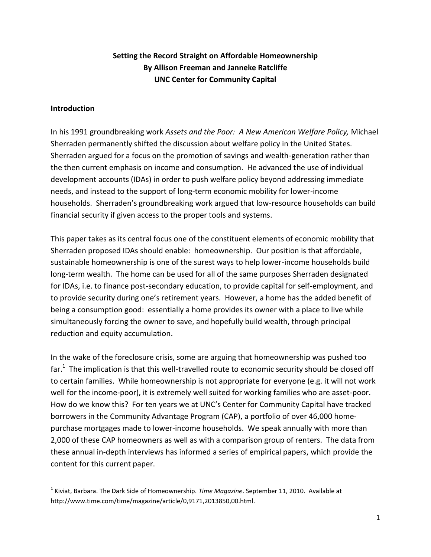# **Setting the Record Straight on Affordable Homeownership By Allison Freeman and Janneke Ratcliffe UNC Center for Community Capital**

### **Introduction**

l

In his 1991 groundbreaking work *Assets and the Poor: A New American Welfare Policy,* Michael Sherraden permanently shifted the discussion about welfare policy in the United States. Sherraden argued for a focus on the promotion of savings and wealth-generation rather than the then current emphasis on income and consumption. He advanced the use of individual development accounts (IDAs) in order to push welfare policy beyond addressing immediate needs, and instead to the support of long-term economic mobility for lower-income households. Sherraden's groundbreaking work argued that low-resource households can build financial security if given access to the proper tools and systems.

This paper takes as its central focus one of the constituent elements of economic mobility that Sherraden proposed IDAs should enable: homeownership. Our position is that affordable, sustainable homeownership is one of the surest ways to help lower-income households build long-term wealth. The home can be used for all of the same purposes Sherraden designated for IDAs, i.e. to finance post-secondary education, to provide capital for self-employment, and to provide security during one's retirement years. However, a home has the added benefit of being a consumption good: essentially a home provides its owner with a place to live while simultaneously forcing the owner to save, and hopefully build wealth, through principal reduction and equity accumulation.

In the wake of the foreclosure crisis, some are arguing that homeownership was pushed too far. $^{1}$  The implication is that this well-travelled route to economic security should be closed off to certain families. While homeownership is not appropriate for everyone (e.g. it will not work well for the income-poor), it is extremely well suited for working families who are asset-poor. How do we know this? For ten years we at UNC's Center for Community Capital have tracked borrowers in the Community Advantage Program (CAP), a portfolio of over 46,000 homepurchase mortgages made to lower-income households. We speak annually with more than 2,000 of these CAP homeowners as well as with a comparison group of renters. The data from these annual in-depth interviews has informed a series of empirical papers, which provide the content for this current paper.

<sup>1</sup> Kiviat, Barbara. The Dark Side of Homeownership. *Time Magazine*. September 11, 2010. Available at http://www.time.com/time/magazine/article/0,9171,2013850,00.html.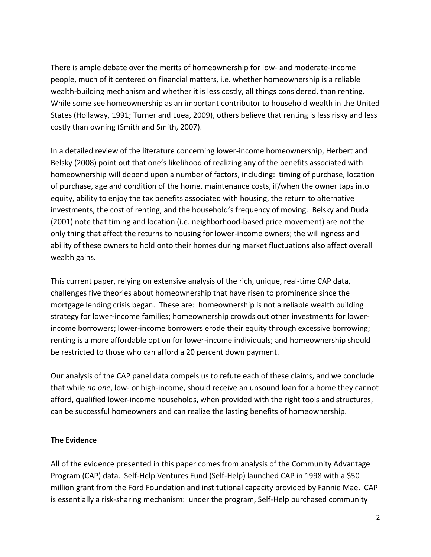There is ample debate over the merits of homeownership for low- and moderate-income people, much of it centered on financial matters, i.e. whether homeownership is a reliable wealth-building mechanism and whether it is less costly, all things considered, than renting. While some see homeownership as an important contributor to household wealth in the United States (Hollaway, 1991; Turner and Luea, 2009), others believe that renting is less risky and less costly than owning (Smith and Smith, 2007).

In a detailed review of the literature concerning lower-income homeownership, Herbert and Belsky (2008) point out that one's likelihood of realizing any of the benefits associated with homeownership will depend upon a number of factors, including: timing of purchase, location of purchase, age and condition of the home, maintenance costs, if/when the owner taps into equity, ability to enjoy the tax benefits associated with housing, the return to alternative investments, the cost of renting, and the household's frequency of moving. Belsky and Duda (2001) note that timing and location (i.e. neighborhood-based price movement) are not the only thing that affect the returns to housing for lower-income owners; the willingness and ability of these owners to hold onto their homes during market fluctuations also affect overall wealth gains.

This current paper, relying on extensive analysis of the rich, unique, real-time CAP data, challenges five theories about homeownership that have risen to prominence since the mortgage lending crisis began. These are: homeownership is not a reliable wealth building strategy for lower-income families; homeownership crowds out other investments for lowerincome borrowers; lower-income borrowers erode their equity through excessive borrowing; renting is a more affordable option for lower-income individuals; and homeownership should be restricted to those who can afford a 20 percent down payment.

Our analysis of the CAP panel data compels us to refute each of these claims, and we conclude that while *no one*, low- or high-income, should receive an unsound loan for a home they cannot afford, qualified lower-income households, when provided with the right tools and structures, can be successful homeowners and can realize the lasting benefits of homeownership.

### **The Evidence**

All of the evidence presented in this paper comes from analysis of the Community Advantage Program (CAP) data. Self-Help Ventures Fund (Self-Help) launched CAP in 1998 with a \$50 million grant from the Ford Foundation and institutional capacity provided by Fannie Mae. CAP is essentially a risk-sharing mechanism: under the program, Self-Help purchased community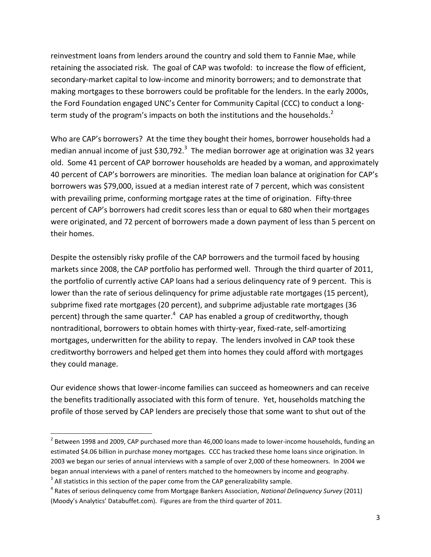reinvestment loans from lenders around the country and sold them to Fannie Mae, while retaining the associated risk. The goal of CAP was twofold: to increase the flow of efficient, secondary-market capital to low-income and minority borrowers; and to demonstrate that making mortgages to these borrowers could be profitable for the lenders. In the early 2000s, the Ford Foundation engaged UNC's Center for Community Capital (CCC) to conduct a longterm study of the program's impacts on both the institutions and the households. $2$ 

Who are CAP's borrowers? At the time they bought their homes, borrower households had a median annual income of just \$30,792. $^3$  The median borrower age at origination was 32 years old. Some 41 percent of CAP borrower households are headed by a woman, and approximately 40 percent of CAP's borrowers are minorities. The median loan balance at origination for CAP's borrowers was \$79,000, issued at a median interest rate of 7 percent, which was consistent with prevailing prime, conforming mortgage rates at the time of origination. Fifty-three percent of CAP's borrowers had credit scores less than or equal to 680 when their mortgages were originated, and 72 percent of borrowers made a down payment of less than 5 percent on their homes.

Despite the ostensibly risky profile of the CAP borrowers and the turmoil faced by housing markets since 2008, the CAP portfolio has performed well. Through the third quarter of 2011, the portfolio of currently active CAP loans had a serious delinquency rate of 9 percent. This is lower than the rate of serious delinquency for prime adjustable rate mortgages (15 percent), subprime fixed rate mortgages (20 percent), and subprime adjustable rate mortgages (36 percent) through the same quarter.<sup>4</sup> CAP has enabled a group of creditworthy, though nontraditional, borrowers to obtain homes with thirty-year, fixed-rate, self-amortizing mortgages, underwritten for the ability to repay. The lenders involved in CAP took these creditworthy borrowers and helped get them into homes they could afford with mortgages they could manage.

Our evidence shows that lower-income families can succeed as homeowners and can receive the benefits traditionally associated with this form of tenure. Yet, households matching the profile of those served by CAP lenders are precisely those that some want to shut out of the

 $\overline{a}$ 

 $^2$  Between 1998 and 2009, CAP purchased more than 46,000 loans made to lower-income households, funding an estimated \$4.06 billion in purchase money mortgages. CCC has tracked these home loans since origination. In 2003 we began our series of annual interviews with a sample of over 2,000 of these homeowners. In 2004 we began annual interviews with a panel of renters matched to the homeowners by income and geography.

 $3$  All statistics in this section of the paper come from the CAP generalizability sample.

<sup>4</sup> Rates of serious delinquency come from Mortgage Bankers Association, *National Delinquency Survey* (2011) (Moody's Analytics' Databuffet.com). Figures are from the third quarter of 2011.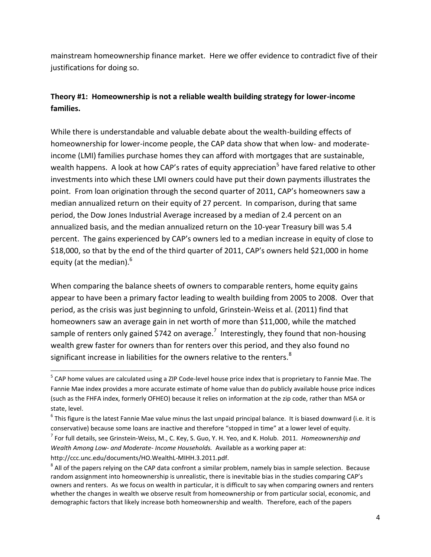mainstream homeownership finance market. Here we offer evidence to contradict five of their justifications for doing so.

# **Theory #1: Homeownership is not a reliable wealth building strategy for lower-income families.**

While there is understandable and valuable debate about the wealth-building effects of homeownership for lower-income people, the CAP data show that when low- and moderateincome (LMI) families purchase homes they can afford with mortgages that are sustainable, wealth happens. A look at how CAP's rates of equity appreciation<sup>5</sup> have fared relative to other investments into which these LMI owners could have put their down payments illustrates the point. From loan origination through the second quarter of 2011, CAP's homeowners saw a median annualized return on their equity of 27 percent. In comparison, during that same period, the Dow Jones Industrial Average increased by a median of 2.4 percent on an annualized basis, and the median annualized return on the 10-year Treasury bill was 5.4 percent. The gains experienced by CAP's owners led to a median increase in equity of close to \$18,000, so that by the end of the third quarter of 2011, CAP's owners held \$21,000 in home equity (at the median).<sup>6</sup>

When comparing the balance sheets of owners to comparable renters, home equity gains appear to have been a primary factor leading to wealth building from 2005 to 2008. Over that period, as the crisis was just beginning to unfold, Grinstein-Weiss et al. (2011) find that homeowners saw an average gain in net worth of more than \$11,000, while the matched sample of renters only gained \$742 on average.<sup>7</sup> Interestingly, they found that non-housing wealth grew faster for owners than for renters over this period, and they also found no significant increase in liabilities for the owners relative to the renters. $8$ 

<sup>&</sup>lt;sup>5</sup> CAP home values are calculated using a ZIP Code-level house price index that is proprietary to Fannie Mae. The Fannie Mae index provides a more accurate estimate of home value than do publicly available house price indices (such as the FHFA index, formerly OFHEO) because it relies on information at the zip code, rather than MSA or state, level.

 $^6$  This figure is the latest Fannie Mae value minus the last unpaid principal balance. It is biased downward (i.e. it is conservative) because some loans are inactive and therefore "stopped in time" at a lower level of equity.

<sup>7</sup> For full details, see Grinstein-Weiss, M., C. Key, S. Guo, Y. H. Yeo, and K. Holub. 2011*. Homeownership and Wealth Among Low- and Moderate- Income Households.* Available as a working paper at: http://ccc.unc.edu/documents/HO.WealthL-MIHH.3.2011.pdf.

 $^8$  All of the papers relying on the CAP data confront a similar problem, namely bias in sample selection. Because random assignment into homeownership is unrealistic, there is inevitable bias in the studies comparing CAP's owners and renters. As we focus on wealth in particular, it is difficult to say when comparing owners and renters whether the changes in wealth we observe result from homeownership or from particular social, economic, and demographic factors that likely increase both homeownership and wealth. Therefore, each of the papers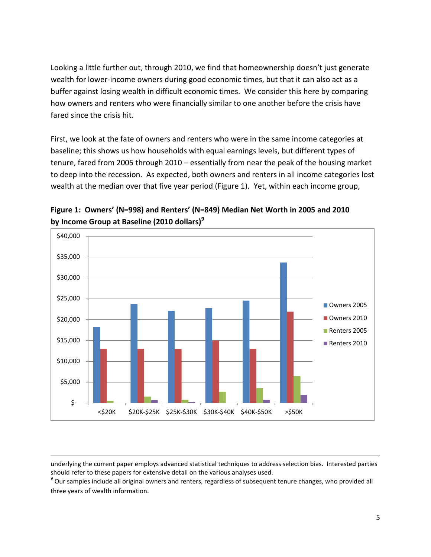Looking a little further out, through 2010, we find that homeownership doesn't just generate wealth for lower-income owners during good economic times, but that it can also act as a buffer against losing wealth in difficult economic times. We consider this here by comparing how owners and renters who were financially similar to one another before the crisis have fared since the crisis hit.

First, we look at the fate of owners and renters who were in the same income categories at baseline; this shows us how households with equal earnings levels, but different types of tenure, fared from 2005 through 2010 – essentially from near the peak of the housing market to deep into the recession. As expected, both owners and renters in all income categories lost wealth at the median over that five year period (Figure 1). Yet, within each income group,





 $9$  Our samples include all original owners and renters, regardless of subsequent tenure changes, who provided all three years of wealth information.

 $\overline{a}$ underlying the current paper employs advanced statistical techniques to address selection bias. Interested parties should refer to these papers for extensive detail on the various analyses used.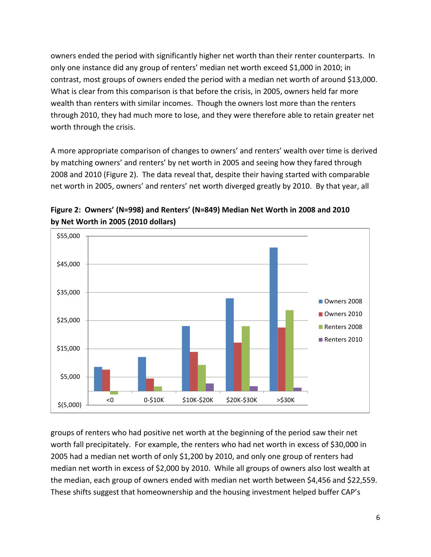owners ended the period with significantly higher net worth than their renter counterparts. In only one instance did any group of renters' median net worth exceed \$1,000 in 2010; in contrast, most groups of owners ended the period with a median net worth of around \$13,000. What is clear from this comparison is that before the crisis, in 2005, owners held far more wealth than renters with similar incomes. Though the owners lost more than the renters through 2010, they had much more to lose, and they were therefore able to retain greater net worth through the crisis.

A more appropriate comparison of changes to owners' and renters' wealth over time is derived by matching owners' and renters' by net worth in 2005 and seeing how they fared through 2008 and 2010 (Figure 2). The data reveal that, despite their having started with comparable net worth in 2005, owners' and renters' net worth diverged greatly by 2010. By that year, all



**Figure 2: Owners' (N=998) and Renters' (N=849) Median Net Worth in 2008 and 2010 by Net Worth in 2005 (2010 dollars)**

groups of renters who had positive net worth at the beginning of the period saw their net worth fall precipitately. For example, the renters who had net worth in excess of \$30,000 in 2005 had a median net worth of only \$1,200 by 2010, and only one group of renters had median net worth in excess of \$2,000 by 2010. While all groups of owners also lost wealth at the median, each group of owners ended with median net worth between \$4,456 and \$22,559. These shifts suggest that homeownership and the housing investment helped buffer CAP's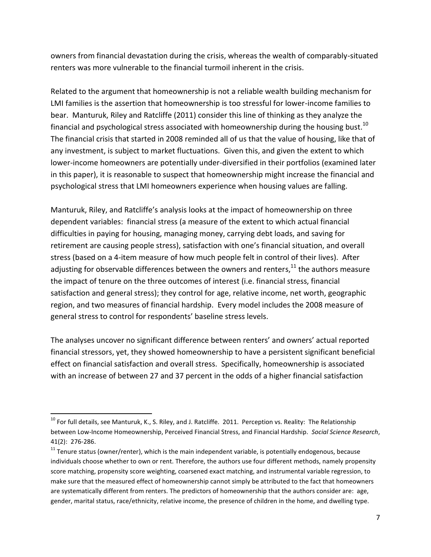owners from financial devastation during the crisis, whereas the wealth of comparably-situated renters was more vulnerable to the financial turmoil inherent in the crisis.

Related to the argument that homeownership is not a reliable wealth building mechanism for LMI families is the assertion that homeownership is too stressful for lower-income families to bear. Manturuk, Riley and Ratcliffe (2011) consider this line of thinking as they analyze the financial and psychological stress associated with homeownership during the housing bust.<sup>10</sup> The financial crisis that started in 2008 reminded all of us that the value of housing, like that of any investment, is subject to market fluctuations. Given this, and given the extent to which lower-income homeowners are potentially under-diversified in their portfolios (examined later in this paper), it is reasonable to suspect that homeownership might increase the financial and psychological stress that LMI homeowners experience when housing values are falling.

Manturuk, Riley, and Ratcliffe's analysis looks at the impact of homeownership on three dependent variables: financial stress (a measure of the extent to which actual financial difficulties in paying for housing, managing money, carrying debt loads, and saving for retirement are causing people stress), satisfaction with one's financial situation, and overall stress (based on a 4-item measure of how much people felt in control of their lives). After adjusting for observable differences between the owners and renters, $^{11}$  the authors measure the impact of tenure on the three outcomes of interest (i.e. financial stress, financial satisfaction and general stress); they control for age, relative income, net worth, geographic region, and two measures of financial hardship. Every model includes the 2008 measure of general stress to control for respondents' baseline stress levels.

The analyses uncover no significant difference between renters' and owners' actual reported financial stressors, yet, they showed homeownership to have a persistent significant beneficial effect on financial satisfaction and overall stress. Specifically, homeownership is associated with an increase of between 27 and 37 percent in the odds of a higher financial satisfaction

l

 $10$  For full details, see Manturuk, K., S. Riley, and J. Ratcliffe. 2011. Perception vs. Reality: The Relationship between Low-Income Homeownership, Perceived Financial Stress, and Financial Hardship. *Social Science Research*, 41(2): 276-286.

<sup>&</sup>lt;sup>11</sup> Tenure status (owner/renter), which is the main independent variable, is potentially endogenous, because individuals choose whether to own or rent. Therefore, the authors use four different methods, namely propensity score matching, propensity score weighting, coarsened exact matching, and instrumental variable regression, to make sure that the measured effect of homeownership cannot simply be attributed to the fact that homeowners are systematically different from renters. The predictors of homeownership that the authors consider are: age, gender, marital status, race/ethnicity, relative income, the presence of children in the home, and dwelling type.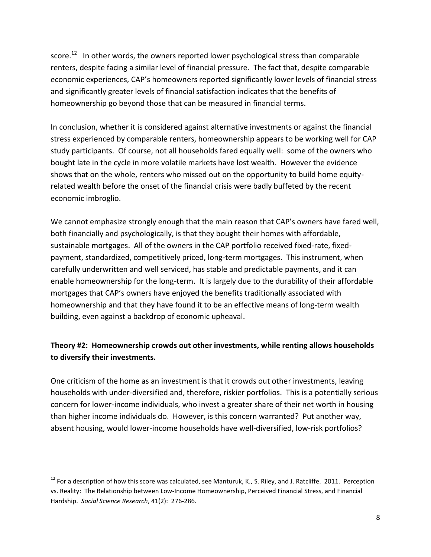score. $^{12}$  In other words, the owners reported lower psychological stress than comparable renters, despite facing a similar level of financial pressure. The fact that, despite comparable economic experiences, CAP's homeowners reported significantly lower levels of financial stress and significantly greater levels of financial satisfaction indicates that the benefits of homeownership go beyond those that can be measured in financial terms.

In conclusion, whether it is considered against alternative investments or against the financial stress experienced by comparable renters, homeownership appears to be working well for CAP study participants. Of course, not all households fared equally well: some of the owners who bought late in the cycle in more volatile markets have lost wealth. However the evidence shows that on the whole, renters who missed out on the opportunity to build home equityrelated wealth before the onset of the financial crisis were badly buffeted by the recent economic imbroglio.

We cannot emphasize strongly enough that the main reason that CAP's owners have fared well, both financially and psychologically, is that they bought their homes with affordable, sustainable mortgages. All of the owners in the CAP portfolio received fixed-rate, fixedpayment, standardized, competitively priced, long-term mortgages. This instrument, when carefully underwritten and well serviced, has stable and predictable payments, and it can enable homeownership for the long-term. It is largely due to the durability of their affordable mortgages that CAP's owners have enjoyed the benefits traditionally associated with homeownership and that they have found it to be an effective means of long-term wealth building, even against a backdrop of economic upheaval.

# **Theory #2: Homeownership crowds out other investments, while renting allows households to diversify their investments.**

One criticism of the home as an investment is that it crowds out other investments, leaving households with under-diversified and, therefore, riskier portfolios. This is a potentially serious concern for lower-income individuals, who invest a greater share of their net worth in housing than higher income individuals do. However, is this concern warranted? Put another way, absent housing, would lower-income households have well-diversified, low-risk portfolios?

 $12$  For a description of how this score was calculated, see Manturuk, K., S. Riley, and J. Ratcliffe. 2011. Perception vs. Reality: The Relationship between Low-Income Homeownership, Perceived Financial Stress, and Financial Hardship. *Social Science Research*, 41(2): 276-286.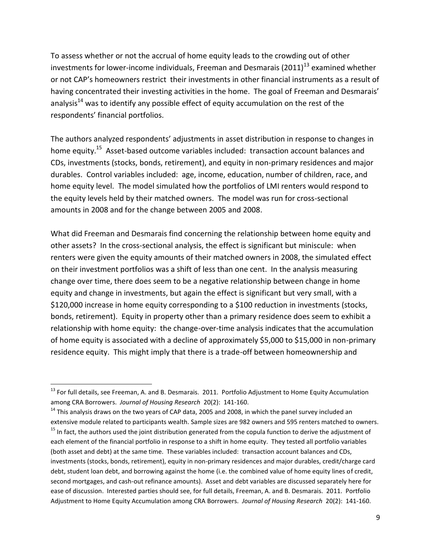To assess whether or not the accrual of home equity leads to the crowding out of other investments for lower-income individuals, Freeman and Desmarais (2011)<sup>13</sup> examined whether or not CAP's homeowners restrict their investments in other financial instruments as a result of having concentrated their investing activities in the home. The goal of Freeman and Desmarais' analysis $^{14}$  was to identify any possible effect of equity accumulation on the rest of the respondents' financial portfolios.

The authors analyzed respondents' adjustments in asset distribution in response to changes in home equity.<sup>15</sup> Asset-based outcome variables included: transaction account balances and CDs, investments (stocks, bonds, retirement), and equity in non-primary residences and major durables. Control variables included: age, income, education, number of children, race, and home equity level. The model simulated how the portfolios of LMI renters would respond to the equity levels held by their matched owners. The model was run for cross-sectional amounts in 2008 and for the change between 2005 and 2008.

What did Freeman and Desmarais find concerning the relationship between home equity and other assets? In the cross-sectional analysis, the effect is significant but miniscule: when renters were given the equity amounts of their matched owners in 2008, the simulated effect on their investment portfolios was a shift of less than one cent. In the analysis measuring change over time, there does seem to be a negative relationship between change in home equity and change in investments, but again the effect is significant but very small, with a \$120,000 increase in home equity corresponding to a \$100 reduction in investments (stocks, bonds, retirement). Equity in property other than a primary residence does seem to exhibit a relationship with home equity: the change-over-time analysis indicates that the accumulation of home equity is associated with a decline of approximately \$5,000 to \$15,000 in non-primary residence equity. This might imply that there is a trade-off between homeownership and

<sup>&</sup>lt;sup>13</sup> For full details, see Freeman, A. and B. Desmarais. 2011. Portfolio Adjustment to Home Equity Accumulation among CRA Borrowers. *Journal of Housing Research* 20(2): 141-160.

<sup>&</sup>lt;sup>14</sup> This analysis draws on the two years of CAP data, 2005 and 2008, in which the panel survey included an extensive module related to participants wealth. Sample sizes are 982 owners and 595 renters matched to owners.  $15$  In fact, the authors used the joint distribution generated from the copula function to derive the adjustment of each element of the financial portfolio in response to a shift in home equity. They tested all portfolio variables (both asset and debt) at the same time. These variables included: transaction account balances and CDs, investments (stocks, bonds, retirement), equity in non-primary residences and major durables, credit/charge card debt, student loan debt, and borrowing against the home (i.e. the combined value of home equity lines of credit, second mortgages, and cash-out refinance amounts). Asset and debt variables are discussed separately here for ease of discussion. Interested parties should see, for full details, Freeman, A. and B. Desmarais. 2011. Portfolio Adjustment to Home Equity Accumulation among CRA Borrowers. *Journal of Housing Research* 20(2): 141-160.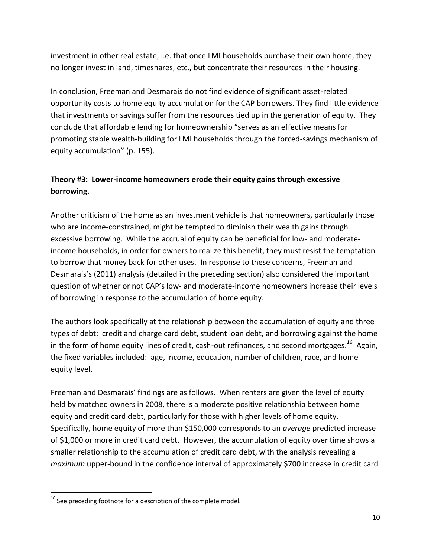investment in other real estate, i.e. that once LMI households purchase their own home, they no longer invest in land, timeshares, etc., but concentrate their resources in their housing.

In conclusion, Freeman and Desmarais do not find evidence of significant asset-related opportunity costs to home equity accumulation for the CAP borrowers. They find little evidence that investments or savings suffer from the resources tied up in the generation of equity. They conclude that affordable lending for homeownership "serves as an effective means for promoting stable wealth-building for LMI households through the forced-savings mechanism of equity accumulation" (p. 155).

# **Theory #3: Lower-income homeowners erode their equity gains through excessive borrowing.**

Another criticism of the home as an investment vehicle is that homeowners, particularly those who are income-constrained, might be tempted to diminish their wealth gains through excessive borrowing. While the accrual of equity can be beneficial for low- and moderateincome households, in order for owners to realize this benefit, they must resist the temptation to borrow that money back for other uses. In response to these concerns, Freeman and Desmarais's (2011) analysis (detailed in the preceding section) also considered the important question of whether or not CAP's low- and moderate-income homeowners increase their levels of borrowing in response to the accumulation of home equity.

The authors look specifically at the relationship between the accumulation of equity and three types of debt: credit and charge card debt, student loan debt, and borrowing against the home in the form of home equity lines of credit, cash-out refinances, and second mortgages.<sup>16</sup> Again, the fixed variables included: age, income, education, number of children, race, and home equity level.

Freeman and Desmarais' findings are as follows. When renters are given the level of equity held by matched owners in 2008, there is a moderate positive relationship between home equity and credit card debt, particularly for those with higher levels of home equity. Specifically, home equity of more than \$150,000 corresponds to an *average* predicted increase of \$1,000 or more in credit card debt. However, the accumulation of equity over time shows a smaller relationship to the accumulation of credit card debt, with the analysis revealing a *maximum* upper-bound in the confidence interval of approximately \$700 increase in credit card

 $16$  See preceding footnote for a description of the complete model.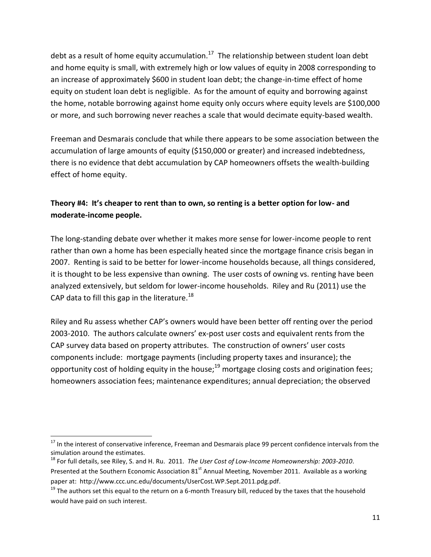debt as a result of home equity accumulation.<sup>17</sup> The relationship between student loan debt and home equity is small, with extremely high or low values of equity in 2008 corresponding to an increase of approximately \$600 in student loan debt; the change-in-time effect of home equity on student loan debt is negligible. As for the amount of equity and borrowing against the home, notable borrowing against home equity only occurs where equity levels are \$100,000 or more, and such borrowing never reaches a scale that would decimate equity-based wealth.

Freeman and Desmarais conclude that while there appears to be some association between the accumulation of large amounts of equity (\$150,000 or greater) and increased indebtedness, there is no evidence that debt accumulation by CAP homeowners offsets the wealth-building effect of home equity.

# **Theory #4: It's cheaper to rent than to own, so renting is a better option for low- and moderate-income people.**

The long-standing debate over whether it makes more sense for lower-income people to rent rather than own a home has been especially heated since the mortgage finance crisis began in 2007. Renting is said to be better for lower-income households because, all things considered, it is thought to be less expensive than owning. The user costs of owning vs. renting have been analyzed extensively, but seldom for lower-income households. Riley and Ru (2011) use the CAP data to fill this gap in the literature.<sup>18</sup>

Riley and Ru assess whether CAP's owners would have been better off renting over the period 2003-2010. The authors calculate owners' ex-post user costs and equivalent rents from the CAP survey data based on property attributes. The construction of owners' user costs components include: mortgage payments (including property taxes and insurance); the opportunity cost of holding equity in the house;<sup>19</sup> mortgage closing costs and origination fees; homeowners association fees; maintenance expenditures; annual depreciation; the observed

 $\overline{a}$ 

 $17$  In the interest of conservative inference, Freeman and Desmarais place 99 percent confidence intervals from the simulation around the estimates.

<sup>18</sup> For full details, see Riley, S. and H. Ru. 2011. *The User Cost of Low-Income Homeownership: 2003-2010*. Presented at the Southern Economic Association 81<sup>st</sup> Annual Meeting, November 2011. Available as a working paper at: http://www.ccc.unc.edu/documents/UserCost.WP.Sept.2011.pdg.pdf.

 $19$  The authors set this equal to the return on a 6-month Treasury bill, reduced by the taxes that the household would have paid on such interest.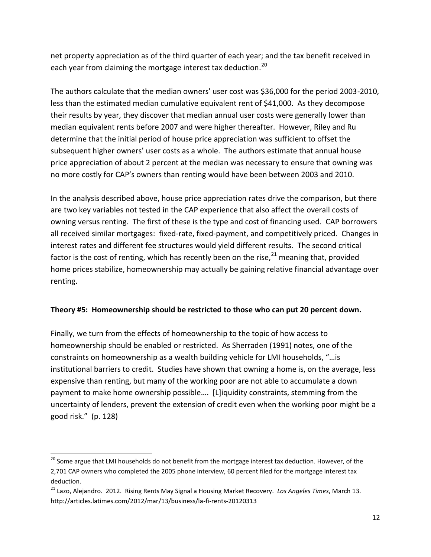net property appreciation as of the third quarter of each year; and the tax benefit received in each year from claiming the mortgage interest tax deduction.<sup>20</sup>

The authors calculate that the median owners' user cost was \$36,000 for the period 2003-2010, less than the estimated median cumulative equivalent rent of \$41,000. As they decompose their results by year, they discover that median annual user costs were generally lower than median equivalent rents before 2007 and were higher thereafter. However, Riley and Ru determine that the initial period of house price appreciation was sufficient to offset the subsequent higher owners' user costs as a whole. The authors estimate that annual house price appreciation of about 2 percent at the median was necessary to ensure that owning was no more costly for CAP's owners than renting would have been between 2003 and 2010.

In the analysis described above, house price appreciation rates drive the comparison, but there are two key variables not tested in the CAP experience that also affect the overall costs of owning versus renting. The first of these is the type and cost of financing used. CAP borrowers all received similar mortgages: fixed-rate, fixed-payment, and competitively priced. Changes in interest rates and different fee structures would yield different results. The second critical factor is the cost of renting, which has recently been on the rise,  $21$  meaning that, provided home prices stabilize, homeownership may actually be gaining relative financial advantage over renting.

### **Theory #5: Homeownership should be restricted to those who can put 20 percent down.**

Finally, we turn from the effects of homeownership to the topic of how access to homeownership should be enabled or restricted. As Sherraden (1991) notes, one of the constraints on homeownership as a wealth building vehicle for LMI households, "…is institutional barriers to credit. Studies have shown that owning a home is, on the average, less expensive than renting, but many of the working poor are not able to accumulate a down payment to make home ownership possible…. [L]iquidity constraints, stemming from the uncertainty of lenders, prevent the extension of credit even when the working poor might be a good risk." (p. 128)

 $\overline{a}$ 

<sup>&</sup>lt;sup>20</sup> Some argue that LMI households do not benefit from the mortgage interest tax deduction. However, of the 2,701 CAP owners who completed the 2005 phone interview, 60 percent filed for the mortgage interest tax deduction.

<sup>21</sup> Lazo, Alejandro. 2012. Rising Rents May Signal a Housing Market Recovery. *Los Angeles Times*, March 13. http://articles.latimes.com/2012/mar/13/business/la-fi-rents-20120313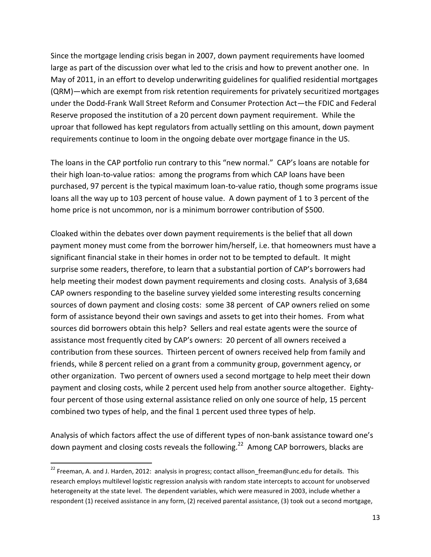Since the mortgage lending crisis began in 2007, down payment requirements have loomed large as part of the discussion over what led to the crisis and how to prevent another one. In May of 2011, in an effort to develop underwriting guidelines for qualified residential mortgages (QRM)—which are exempt from risk retention requirements for privately securitized mortgages under the Dodd-Frank Wall Street Reform and Consumer Protection Act—the FDIC and Federal Reserve proposed the institution of a 20 percent down payment requirement. While the uproar that followed has kept regulators from actually settling on this amount, down payment requirements continue to loom in the ongoing debate over mortgage finance in the US.

The loans in the CAP portfolio run contrary to this "new normal." CAP's loans are notable for their high loan-to-value ratios: among the programs from which CAP loans have been purchased, 97 percent is the typical maximum loan-to-value ratio, though some programs issue loans all the way up to 103 percent of house value. A down payment of 1 to 3 percent of the home price is not uncommon, nor is a minimum borrower contribution of \$500.

Cloaked within the debates over down payment requirements is the belief that all down payment money must come from the borrower him/herself, i.e. that homeowners must have a significant financial stake in their homes in order not to be tempted to default. It might surprise some readers, therefore, to learn that a substantial portion of CAP's borrowers had help meeting their modest down payment requirements and closing costs. Analysis of 3,684 CAP owners responding to the baseline survey yielded some interesting results concerning sources of down payment and closing costs: some 38 percent of CAP owners relied on some form of assistance beyond their own savings and assets to get into their homes. From what sources did borrowers obtain this help? Sellers and real estate agents were the source of assistance most frequently cited by CAP's owners: 20 percent of all owners received a contribution from these sources. Thirteen percent of owners received help from family and friends, while 8 percent relied on a grant from a community group, government agency, or other organization. Two percent of owners used a second mortgage to help meet their down payment and closing costs, while 2 percent used help from another source altogether. Eightyfour percent of those using external assistance relied on only one source of help, 15 percent combined two types of help, and the final 1 percent used three types of help.

Analysis of which factors affect the use of different types of non-bank assistance toward one's down payment and closing costs reveals the following.<sup>22</sup> Among CAP borrowers, blacks are

<sup>&</sup>lt;sup>22</sup> Freeman, A. and J. Harden, 2012: analysis in progress; contact allison\_freeman@unc.edu for details. This research employs multilevel logistic regression analysis with random state intercepts to account for unobserved heterogeneity at the state level. The dependent variables, which were measured in 2003, include whether a respondent (1) received assistance in any form, (2) received parental assistance, (3) took out a second mortgage,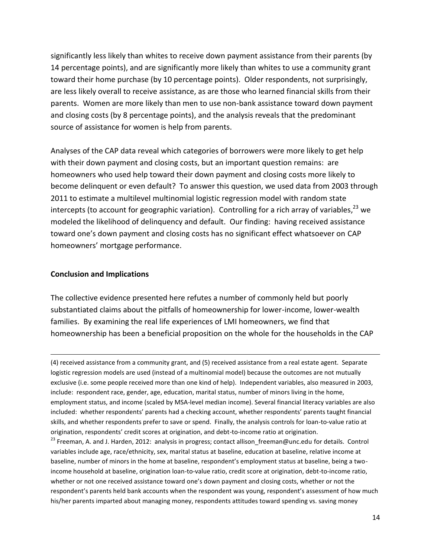significantly less likely than whites to receive down payment assistance from their parents (by 14 percentage points), and are significantly more likely than whites to use a community grant toward their home purchase (by 10 percentage points). Older respondents, not surprisingly, are less likely overall to receive assistance, as are those who learned financial skills from their parents. Women are more likely than men to use non-bank assistance toward down payment and closing costs (by 8 percentage points), and the analysis reveals that the predominant source of assistance for women is help from parents.

Analyses of the CAP data reveal which categories of borrowers were more likely to get help with their down payment and closing costs, but an important question remains: are homeowners who used help toward their down payment and closing costs more likely to become delinquent or even default? To answer this question, we used data from 2003 through 2011 to estimate a multilevel multinomial logistic regression model with random state intercepts (to account for geographic variation). Controlling for a rich array of variables,<sup>23</sup> we modeled the likelihood of delinquency and default. Our finding: having received assistance toward one's down payment and closing costs has no significant effect whatsoever on CAP homeowners' mortgage performance.

#### **Conclusion and Implications**

 $\overline{\phantom{a}}$ 

The collective evidence presented here refutes a number of commonly held but poorly substantiated claims about the pitfalls of homeownership for lower-income, lower-wealth families. By examining the real life experiences of LMI homeowners, we find that homeownership has been a beneficial proposition on the whole for the households in the CAP

(4) received assistance from a community grant, and (5) received assistance from a real estate agent. Separate logistic regression models are used (instead of a multinomial model) because the outcomes are not mutually exclusive (i.e. some people received more than one kind of help). Independent variables, also measured in 2003, include: respondent race, gender, age, education, marital status, number of minors living in the home, employment status, and income (scaled by MSA-level median income). Several financial literacy variables are also included: whether respondents' parents had a checking account, whether respondents' parents taught financial skills, and whether respondents prefer to save or spend. Finally, the analysis controls for loan-to-value ratio at origination, respondents' credit scores at origination, and debt-to-income ratio at origination.

<sup>23</sup> Freeman, A. and J. Harden, 2012: analysis in progress; contact allison\_freeman@unc.edu for details. Control variables include age, race/ethnicity, sex, marital status at baseline, education at baseline, relative income at baseline, number of minors in the home at baseline, respondent's employment status at baseline, being a twoincome household at baseline, origination loan-to-value ratio, credit score at origination, debt-to-income ratio, whether or not one received assistance toward one's down payment and closing costs, whether or not the respondent's parents held bank accounts when the respondent was young, respondent's assessment of how much his/her parents imparted about managing money, respondents attitudes toward spending vs. saving money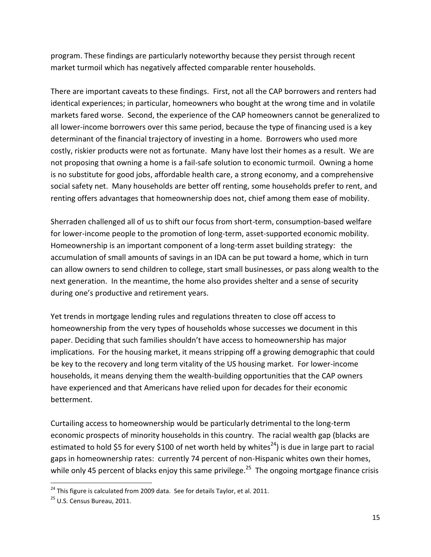program. These findings are particularly noteworthy because they persist through recent market turmoil which has negatively affected comparable renter households.

There are important caveats to these findings. First, not all the CAP borrowers and renters had identical experiences; in particular, homeowners who bought at the wrong time and in volatile markets fared worse. Second, the experience of the CAP homeowners cannot be generalized to all lower-income borrowers over this same period, because the type of financing used is a key determinant of the financial trajectory of investing in a home. Borrowers who used more costly, riskier products were not as fortunate. Many have lost their homes as a result. We are not proposing that owning a home is a fail-safe solution to economic turmoil. Owning a home is no substitute for good jobs, affordable health care, a strong economy, and a comprehensive social safety net. Many households are better off renting, some households prefer to rent, and renting offers advantages that homeownership does not, chief among them ease of mobility.

Sherraden challenged all of us to shift our focus from short-term, consumption-based welfare for lower-income people to the promotion of long-term, asset-supported economic mobility. Homeownership is an important component of a long-term asset building strategy: the accumulation of small amounts of savings in an IDA can be put toward a home, which in turn can allow owners to send children to college, start small businesses, or pass along wealth to the next generation. In the meantime, the home also provides shelter and a sense of security during one's productive and retirement years.

Yet trends in mortgage lending rules and regulations threaten to close off access to homeownership from the very types of households whose successes we document in this paper. Deciding that such families shouldn't have access to homeownership has major implications. For the housing market, it means stripping off a growing demographic that could be key to the recovery and long term vitality of the US housing market. For lower-income households, it means denying them the wealth-building opportunities that the CAP owners have experienced and that Americans have relied upon for decades for their economic betterment.

Curtailing access to homeownership would be particularly detrimental to the long-term economic prospects of minority households in this country. The racial wealth gap (blacks are estimated to hold \$5 for every \$100 of net worth held by whites<sup>24</sup>) is due in large part to racial gaps in homeownership rates: currently 74 percent of non-Hispanic whites own their homes, while only 45 percent of blacks enjoy this same privilege.<sup>25</sup> The ongoing mortgage finance crisis

l

 $^{24}$  This figure is calculated from 2009 data. See for details Taylor, et al. 2011.

<sup>&</sup>lt;sup>25</sup> U.S. Census Bureau, 2011.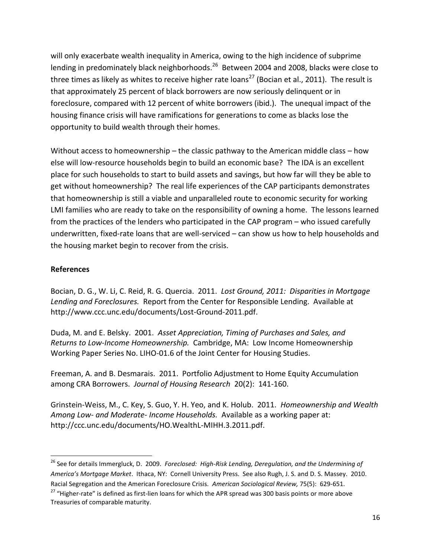will only exacerbate wealth inequality in America, owing to the high incidence of subprime lending in predominately black neighborhoods.<sup>26</sup> Between 2004 and 2008, blacks were close to three times as likely as whites to receive higher rate loans<sup>27</sup> (Bocian et al., 2011). The result is that approximately 25 percent of black borrowers are now seriously delinquent or in foreclosure, compared with 12 percent of white borrowers (ibid.). The unequal impact of the housing finance crisis will have ramifications for generations to come as blacks lose the opportunity to build wealth through their homes.

Without access to homeownership – the classic pathway to the American middle class – how else will low-resource households begin to build an economic base? The IDA is an excellent place for such households to start to build assets and savings, but how far will they be able to get without homeownership? The real life experiences of the CAP participants demonstrates that homeownership is still a viable and unparalleled route to economic security for working LMI families who are ready to take on the responsibility of owning a home. The lessons learned from the practices of the lenders who participated in the CAP program – who issued carefully underwritten, fixed-rate loans that are well-serviced – can show us how to help households and the housing market begin to recover from the crisis.

### **References**

 $\overline{a}$ 

Bocian, D. G., W. Li, C. Reid, R. G. Quercia. 2011. *Lost Ground, 2011: Disparities in Mortgage Lending and Foreclosures.* Report from the Center for Responsible Lending. Available at http://www.ccc.unc.edu/documents/Lost-Ground-2011.pdf.

Duda, M. and E. Belsky. 2001. *Asset Appreciation, Timing of Purchases and Sales, and Returns to Low-Income Homeownership.* Cambridge, MA: Low Income Homeownership Working Paper Series No. LIHO-01.6 of the Joint Center for Housing Studies.

Freeman, A. and B. Desmarais. 2011. Portfolio Adjustment to Home Equity Accumulation among CRA Borrowers. *Journal of Housing Research* 20(2): 141-160.

Grinstein-Weiss, M., C. Key, S. Guo, Y. H. Yeo, and K. Holub. 2011. *Homeownership and Wealth Among Low- and Moderate- Income Households.* Available as a working paper at: http://ccc.unc.edu/documents/HO.WealthL-MIHH.3.2011.pdf.

<sup>26</sup> See for details Immergluck, D. 2009. *Foreclosed: High-Risk Lending, Deregulation, and the Undermining of America's Mortgage Market*. Ithaca, NY: Cornell University Press. See also Rugh, J. S. and D. S. Massey. 2010. Racial Segregation and the American Foreclosure Crisis. *American Sociological Review,* 75(5): 629-651.

<sup>&</sup>lt;sup>27</sup> "Higher-rate" is defined as first-lien loans for which the APR spread was 300 basis points or more above Treasuries of comparable maturity.